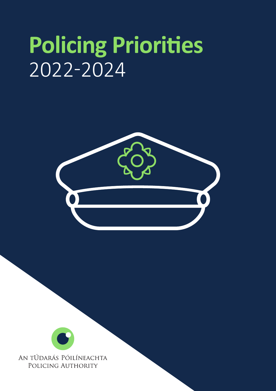# **Policing Priorities** 2022-2024



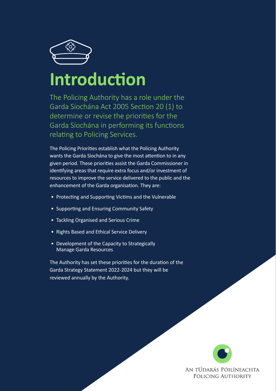

## **Introduction**

The Policing Authority has a role under the Garda Síochána Act 2005 Section 20 (1) to determine or revise the priorities for the Garda Síochána in performing its functions relating to Policing Services.

The Policing Priorities establish what the Policing Authority wants the Garda Síochána to give the most attention to in any given period. These priorities assist the Garda Commissioner in identifying areas that require extra focus and/or investment of resources to improve the service delivered to the public and the enhancement of the Garda organisation. They are:

- Protecting and Supporting Victims and the Vulnerable
- Supporting and Ensuring Community Safety
- Tackling Organised and Serious Crime

An tÚdarás Póilíneachta | Policing Authority

- Rights Based and Ethical Service Delivery
- Development of the Capacity to Strategically Manage Garda Resources

The Authority has set these priorities for the duration of the Garda Strategy Statement 2022-2024 but they will be reviewed annually by the Authority.

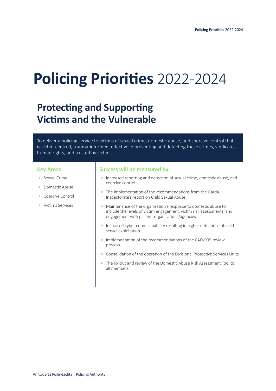## **Policing Priorities** 2022-2024

## **Protecting and Supporting Victims and the Vulnerable**

To deliver a policing service to victims of sexual crime, domestic abuse, and coercive control that is victim-centred, trauma-informed, effective in preventing and detecting these crimes, vindicates human rights, and trusted by victims.

#### **Key Areas:**

- **•** Sexual Crime
- **•** Domestic Abuse
- **•** Coercive Control
- **•** Victims Services

- **•** Increased reporting and detection of sexual crime, domestic abuse, and coercive control
- **•** The implementation of the recommendations from the Garda Inspectorate's report on Child Sexual Abuse
- **•** Maintenance of the organisation's response to domestic abuse to include the levels of victim engagement, victim risk assessments, and engagement with partner organisations/agencies
- **•** Increased cyber crime capability resulting in higher detections of child sexual exploitation
- **•** Implementation of the recommendations of the CAD/999 review process
- **•** Consolidation of the operation of the Divisional Protective Services Units
- **•** The rollout and review of the Domestic Abuse Risk Assessment Tool to all members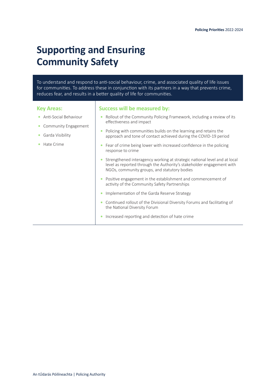## **Supporting and Ensuring Community Safety**

To understand and respond to anti-social behaviour, crime, and associated quality of life issues for communities. To address these in conjunction with its partners in a way that prevents crime, reduces fear, and results in a better quality of life for communities.

#### **Key Areas:**

- **•** Anti-Social Behaviour
- **•** Community Engagement
- **•** Garda Visibility
- **•** Hate Crime

- **•** Rollout of the Community Policing Framework, including a review of its effectiveness and impact
- **•** Policing with communities builds on the learning and retains the approach and tone of contact achieved during the COVID-19 period
- **•** Fear of crime being lower with increased confidence in the policing response to crime
- **•** Strengthened interagency working at strategic national level and at local level as reported through the Authority's stakeholder engagement with NGOs, community groups, and statutory bodies
- **•** Positive engagement in the establishment and commencement of activity of the Community Safety Partnerships
- **•** Implementation of the Garda Reserve Strategy
- **•** Continued rollout of the Divisional Diversity Forums and facilitating of the National Diversity Forum
- **•** Increased reporting and detection of hate crime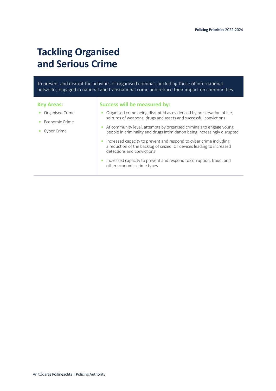## **Tackling Organised and Serious Crime**

To prevent and disrupt the activities of organised criminals, including those of international networks, engaged in national and transnational crime and reduce their impact on communities.

| <b>Key Areas:</b>     | Success will be measured by:                                                                                                                                              |
|-----------------------|---------------------------------------------------------------------------------------------------------------------------------------------------------------------------|
| Organised Crime       | Organised crime being disrupted as evidenced by preservation of life,<br>seizures of weapons, drugs and assets and successful convictions                                 |
| <b>Economic Crime</b> | At community level, attempts by organised criminals to engage young                                                                                                       |
| Cyber Crime           | people in criminality and drugs intimidation being increasingly disrupted                                                                                                 |
|                       | Increased capacity to prevent and respond to cyber crime including<br>a reduction of the backlog of seized ICT devices leading to increased<br>detections and convictions |
|                       | Increased capacity to prevent and respond to corruption, fraud, and<br>other economic crime types                                                                         |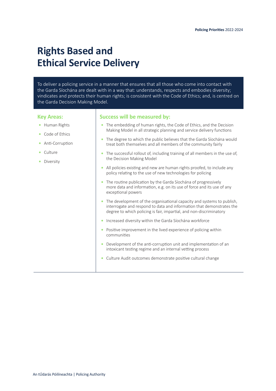## **Rights Based and Ethical Service Delivery**

To deliver a policing service in a manner that ensures that all those who come into contact with the Garda Síochána are dealt with in a way that: understands, respects and embodies diversity; vindicates and protects their human rights; is consistent with the Code of Ethics; and, is centred on the Garda Decision Making Model.

#### **Key Areas:**

- **•** Human Rights
- **•** Code of Ethics
- **•** Anti-Corruption
- **•** Culture
- **•** Diversity

- **•** The embedding of human rights, the Code of Ethics, and the Decision Making Model in all strategic planning and service delivery functions
- **•** The degree to which the public believes that the Garda Síochána would treat both themselves and all members of the community fairly
- **•** The successful rollout of, including training of all members in the use of, the Decision Making Model
- **•** All policies existing and new are human rights proofed, to include any policy relating to the use of new technologies for policing
- **•** The routine publication by the Garda Síochána of progressively more data and information, e.g. on its use of force and its use of any exceptional powers
- **•** The development of the organisational capacity and systems to publish, interrogate and respond to data and information that demonstrates the degree to which policing is fair, impartial, and non-discriminatory
- **•** Increased diversity within the Garda Síochána workforce
- **•** Positive improvement in the lived experience of policing within communities
- **•** Development of the anti-corruption unit and implementation of an intoxicant testing regime and an internal vetting process
- **•** Culture Audit outcomes demonstrate positive cultural change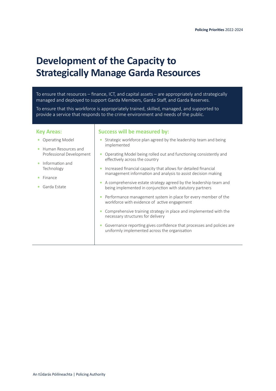## **Development of the Capacity to Strategically Manage Garda Resources**

To ensure that resources – finance, ICT, and capital assets – are appropriately and strategically managed and deployed to support Garda Members, Garda Staff, and Garda Reserves.

To ensure that this workforce is appropriately trained, skilled, managed, and supported to provide a service that responds to the crime environment and needs of the public.

#### **Key Areas:**

- **•** Operating Model
- **•** Human Resources and Professional Development
- **•** Information and Technology
- **•** Finance
- **•** Garda Estate

- **•** Strategic workforce plan agreed by the leadership team and being implemented
- **•** Operating Model being rolled out and functioning consistently and effectively across the country
- **•** Increased financial capacity that allows for detailed financial management information and analysis to assist decision making
- **•** A comprehensive estate strategy agreed by the leadership team and being implemented in conjunction with statutory partners
- **•** Performance management system in place for every member of the workforce with evidence of active engagement
- **•** Comprehensive training strategy in place and implemented with the necessary structures for delivery
- **•** Governance reporting gives confidence that processes and policies are uniformly implemented across the organisation